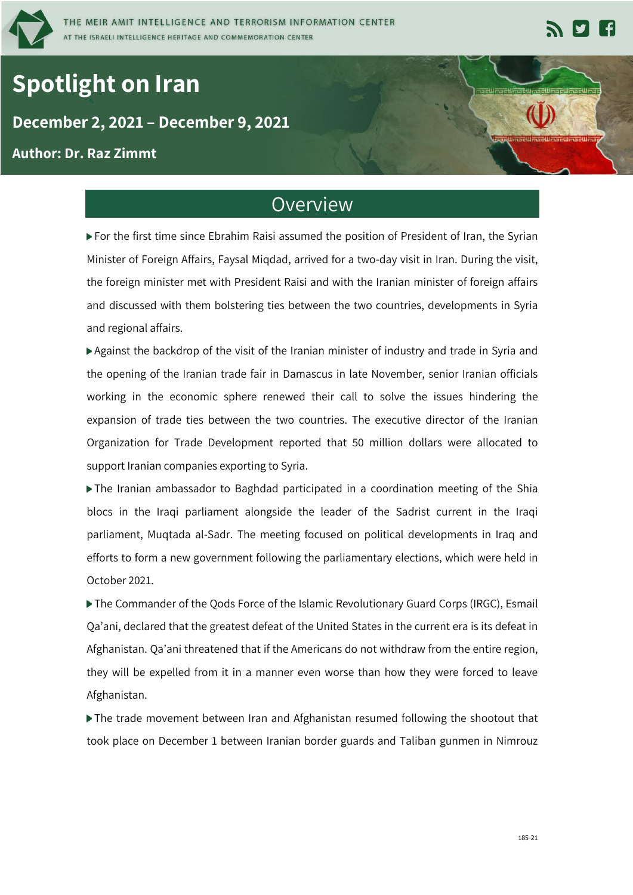

# **Spotlight on Iran**

#### **` December 2, 2021 – December 9, 2021**

#### **Author: Dr. Raz Zimmt**

### **Overview**

For the first time since Ebrahim Raisi assumed the position of President of Iran, the Syrian Minister of Foreign Affairs, Faysal Miqdad, arrived for a two-day visit in Iran. During the visit, the foreign minister met with President Raisi and with the Iranian minister of foreign affairs and discussed with them bolstering ties between the two countries, developments in Syria and regional affairs.

Against the backdrop of the visit of the Iranian minister of industry and trade in Syria and the opening of the Iranian trade fair in Damascus in late November, senior Iranian officials working in the economic sphere renewed their call to solve the issues hindering the expansion of trade ties between the two countries. The executive director of the Iranian Organization for Trade Development reported that 50 million dollars were allocated to support Iranian companies exporting to Syria.

The Iranian ambassador to Baghdad participated in a coordination meeting of the Shia blocs in the Iraqi parliament alongside the leader of the Sadrist current in the Iraqi parliament, Muqtada al-Sadr. The meeting focused on political developments in Iraq and efforts to form a new government following the parliamentary elections, which were held in October 2021.

The Commander of the Qods Force of the Islamic Revolutionary Guard Corps (IRGC), Esmail Qa'ani, declared that the greatest defeat of the United States in the current era is its defeat in Afghanistan. Qa'ani threatened that if the Americans do not withdraw from the entire region, they will be expelled from it in a manner even worse than how they were forced to leave Afghanistan.

The trade movement between Iran and Afghanistan resumed following the shootout that took place on December 1 between Iranian border guards and Taliban gunmen in Nimrouz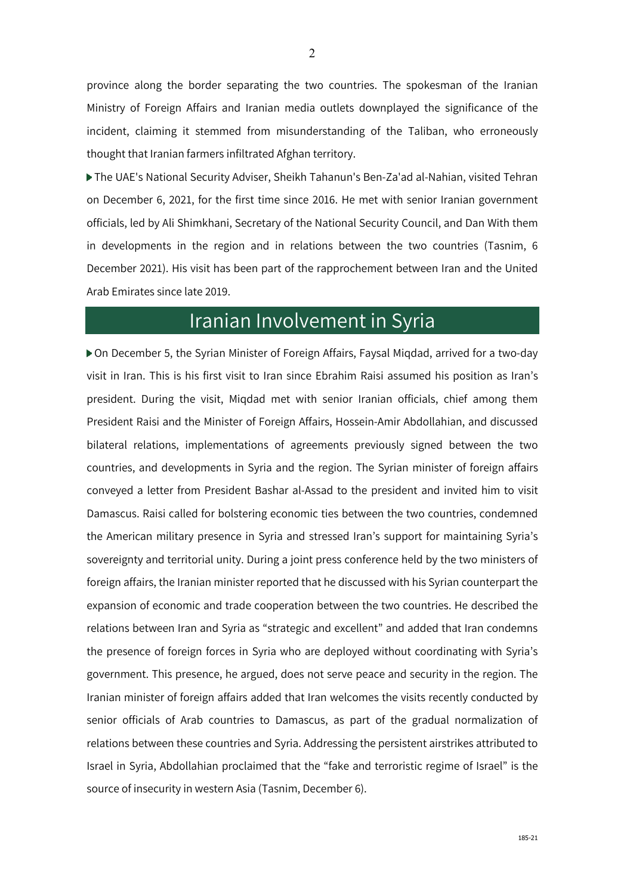province along the border separating the two countries. The spokesman of the Iranian Ministry of Foreign Affairs and Iranian media outlets downplayed the significance of the incident, claiming it stemmed from misunderstanding of the Taliban, who erroneously thought that Iranian farmers infiltrated Afghan territory.

The UAE's National Security Adviser, Sheikh Tahanun's Ben-Za'ad al-Nahian, visited Tehran on December 6, 2021, for the first time since 2016. He met with senior Iranian government officials, led by Ali Shimkhani, Secretary of the National Security Council, and Dan With them in developments in the region and in relations between the two countries (Tasnim, 6 December 2021). His visit has been part of the rapprochement between Iran and the United Arab Emirates since late 2019.

## Iranian Involvement in Syria

On December 5, the Syrian Minister of Foreign Affairs, Faysal Miqdad, arrived for a two-day visit in Iran. This is his first visit to Iran since Ebrahim Raisi assumed his position as Iran's president. During the visit, Miqdad met with senior Iranian officials, chief among them President Raisi and the Minister of Foreign Affairs, Hossein-Amir Abdollahian, and discussed bilateral relations, implementations of agreements previously signed between the two countries, and developments in Syria and the region. The Syrian minister of foreign affairs conveyed a letter from President Bashar al-Assad to the president and invited him to visit Damascus. Raisi called for bolstering economic ties between the two countries, condemned the American military presence in Syria and stressed Iran's support for maintaining Syria's sovereignty and territorial unity. During a joint press conference held by the two ministers of foreign affairs, the Iranian minister reported that he discussed with his Syrian counterpart the expansion of economic and trade cooperation between the two countries. He described the relations between Iran and Syria as "strategic and excellent" and added that Iran condemns the presence of foreign forces in Syria who are deployed without coordinating with Syria's government. This presence, he argued, does not serve peace and security in the region. The Iranian minister of foreign affairs added that Iran welcomes the visits recently conducted by senior officials of Arab countries to Damascus, as part of the gradual normalization of relations between these countries and Syria. Addressing the persistent airstrikes attributed to Israel in Syria, Abdollahian proclaimed that the "fake and terroristic regime of Israel" is the source of insecurity in western Asia (Tasnim, December 6).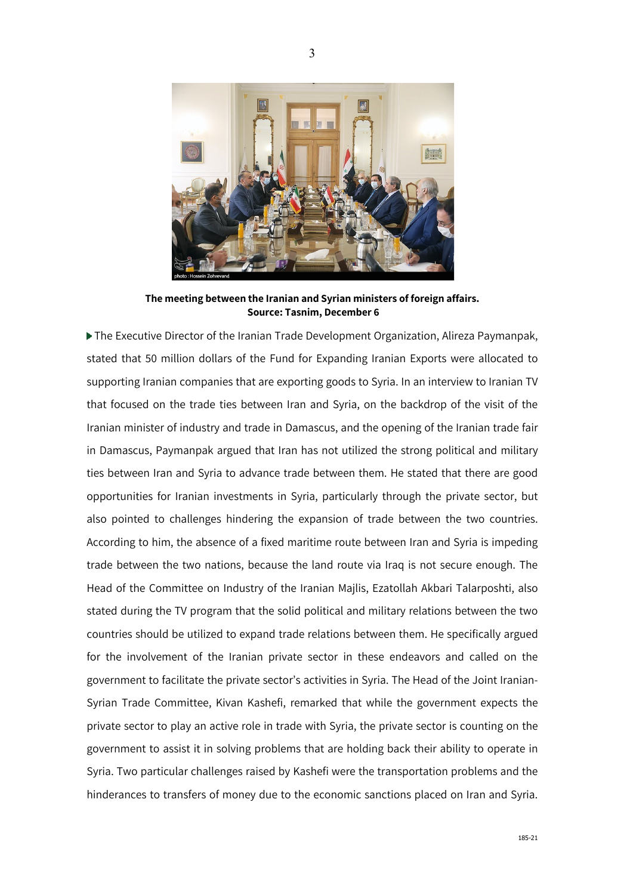

**The meeting between the Iranian and Syrian ministers of foreign affairs. Source: Tasnim, December 6**

The Executive Director of the Iranian Trade Development Organization, Alireza Paymanpak, stated that 50 million dollars of the Fund for Expanding Iranian Exports were allocated to supporting Iranian companies that are exporting goods to Syria. In an interview to Iranian TV that focused on the trade ties between Iran and Syria, on the backdrop of the visit of the Iranian minister of industry and trade in Damascus, and the opening of the Iranian trade fair in Damascus, Paymanpak argued that Iran has not utilized the strong political and military ties between Iran and Syria to advance trade between them. He stated that there are good opportunities for Iranian investments in Syria, particularly through the private sector, but also pointed to challenges hindering the expansion of trade between the two countries. According to him, the absence of a fixed maritime route between Iran and Syria is impeding trade between the two nations, because the land route via Iraq is not secure enough. The Head of the Committee on Industry of the Iranian Majlis, Ezatollah Akbari Talarposhti, also stated during the TV program that the solid political and military relations between the two countries should be utilized to expand trade relations between them. He specifically argued for the involvement of the Iranian private sector in these endeavors and called on the government to facilitate the private sector's activities in Syria. The Head of the Joint Iranian-Syrian Trade Committee, Kivan Kashefi, remarked that while the government expects the private sector to play an active role in trade with Syria, the private sector is counting on the government to assist it in solving problems that are holding back their ability to operate in Syria. Two particular challenges raised by Kashefi were the transportation problems and the hinderances to transfers of money due to the economic sanctions placed on Iran and Syria.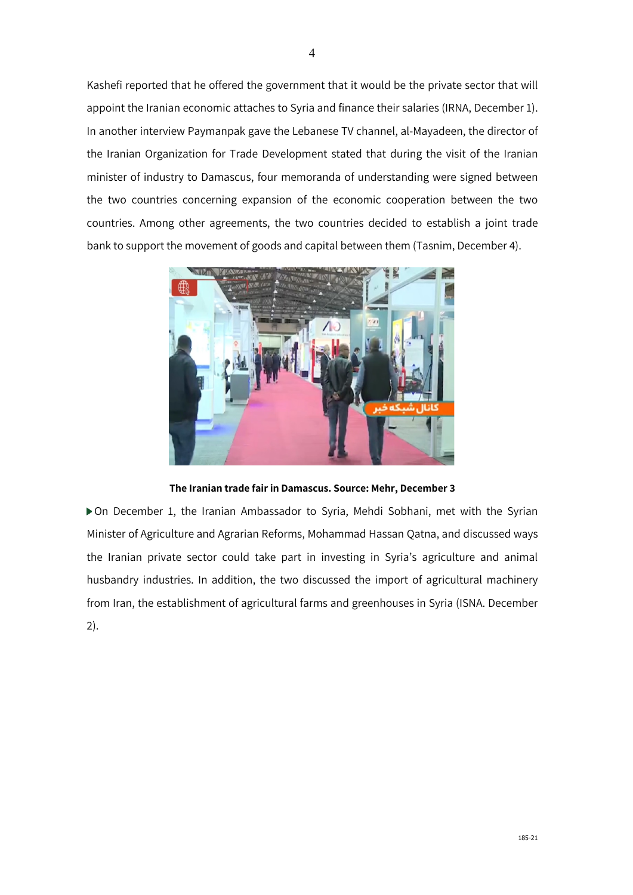Kashefi reported that he offered the government that it would be the private sector that will appoint the Iranian economic attaches to Syria and finance their salaries (IRNA, December 1). In another interview Paymanpak gave the Lebanese TV channel, al-Mayadeen, the director of the Iranian Organization for Trade Development stated that during the visit of the Iranian minister of industry to Damascus, four memoranda of understanding were signed between the two countries concerning expansion of the economic cooperation between the two countries. Among other agreements, the two countries decided to establish a joint trade bank to support the movement of goods and capital between them (Tasnim, December 4).



**The Iranian trade fair in Damascus. Source: Mehr, December 3**

On December 1, the Iranian Ambassador to Syria, Mehdi Sobhani, met with the Syrian Minister of Agriculture and Agrarian Reforms, Mohammad Hassan Qatna, and discussed ways the Iranian private sector could take part in investing in Syria's agriculture and animal husbandry industries. In addition, the two discussed the import of agricultural machinery from Iran, the establishment of agricultural farms and greenhouses in Syria (ISNA. December 2).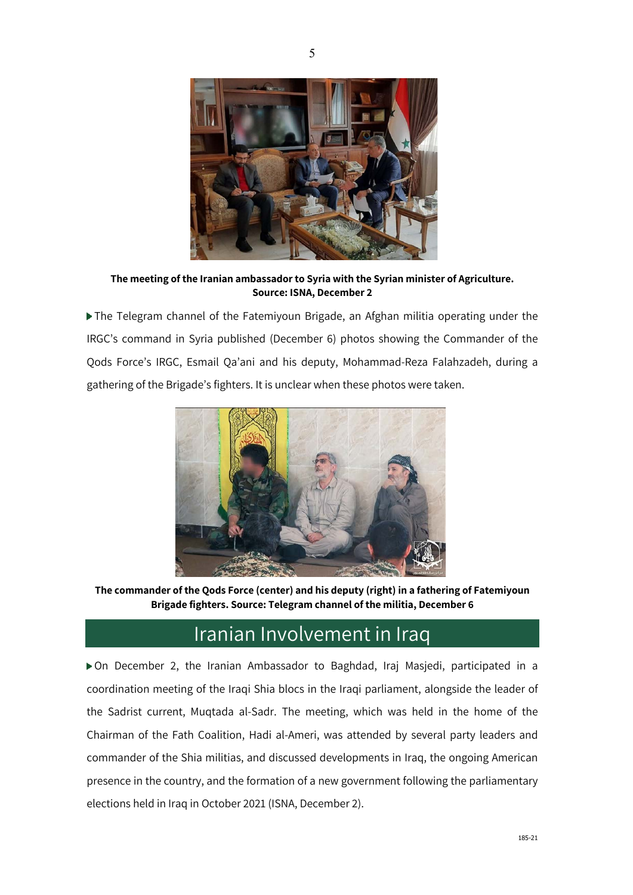

**The meeting of the Iranian ambassador to Syria with the Syrian minister of Agriculture. Source: ISNA, December 2**

The Telegram channel of the Fatemiyoun Brigade, an Afghan militia operating under the IRGC's command in Syria published (December 6) photos showing the Commander of the Qods Force's IRGC, Esmail Qa'ani and his deputy, Mohammad-Reza Falahzadeh, during a gathering of the Brigade's fighters. It is unclear when these photos were taken.



**The commander of the Qods Force (center) and his deputy (right) in a fathering of Fatemiyoun Brigade fighters. Source: Telegram channel of the militia, December 6**

#### Iranian Involvement in Iraq

On December 2, the Iranian Ambassador to Baghdad, Iraj Masjedi, participated in a coordination meeting of the Iraqi Shia blocs in the Iraqi parliament, alongside the leader of the Sadrist current, Muqtada al-Sadr. The meeting, which was held in the home of the Chairman of the Fath Coalition, Hadi al-Ameri, was attended by several party leaders and commander of the Shia militias, and discussed developments in Iraq, the ongoing American presence in the country, and the formation of a new government following the parliamentary elections held in Iraq in October 2021 (ISNA, December 2).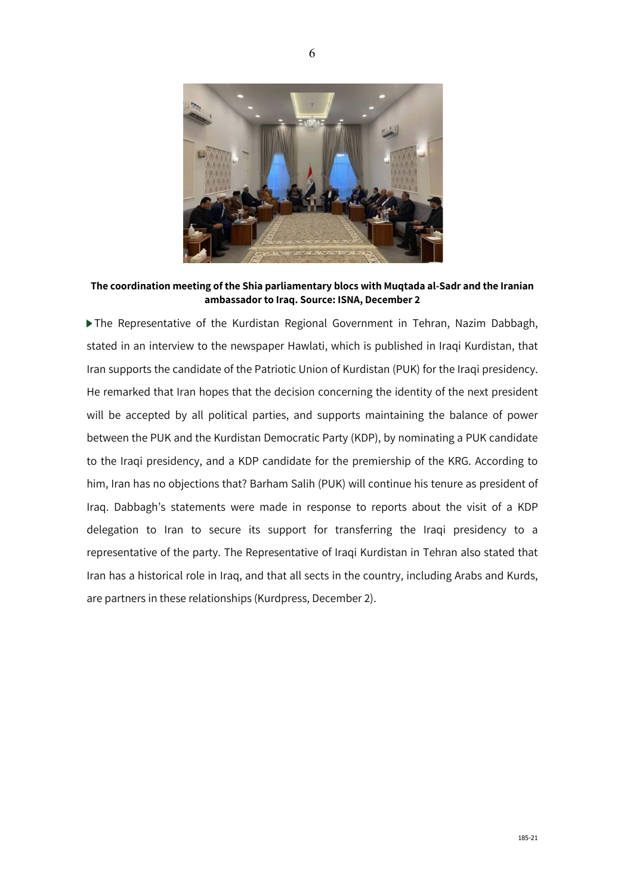

**The coordination meeting of the Shia parliamentary blocs with Muqtada al-Sadr and the Iranian ambassador to Iraq. Source: ISNA, December 2**

The Representative of the Kurdistan Regional Government in Tehran, Nazim Dabbagh, stated in an interview to the newspaper Hawlati, which is published in Iraqi Kurdistan, that Iran supports the candidate of the Patriotic Union of Kurdistan (PUK) for the Iraqi presidency. He remarked that Iran hopes that the decision concerning the identity of the next president will be accepted by all political parties, and supports maintaining the balance of power between the PUK and the Kurdistan Democratic Party (KDP), by nominating a PUK candidate to the Iraqi presidency, and a KDP candidate for the premiership of the KRG. According to him, Iran has no objections that? Barham Salih (PUK) will continue his tenure as president of Iraq. Dabbagh's statements were made in response to reports about the visit of a KDP delegation to Iran to secure its support for transferring the Iraqi presidency to a representative of the party. The Representative of Iraqi Kurdistan in Tehran also stated that Iran has a historical role in Iraq, and that all sects in the country, including Arabs and Kurds, are partners in these relationships (Kurdpress, December 2).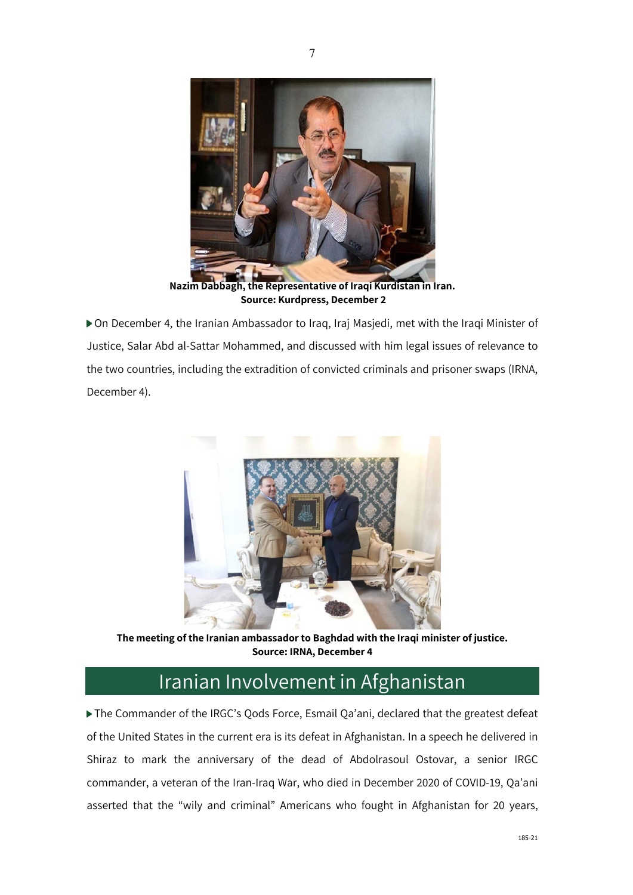

7

**Nazim Dabbagh, the Representative of Iraqi Kurdistan in Iran. Source: Kurdpress, December 2**

On December 4, the Iranian Ambassador to Iraq, Iraj Masjedi, met with the Iraqi Minister of Justice, Salar Abd al-Sattar Mohammed, and discussed with him legal issues of relevance to the two countries, including the extradition of convicted criminals and prisoner swaps (IRNA, December 4).



**The meeting of the Iranian ambassador to Baghdad with the Iraqi minister of justice. Source: IRNA, December 4**

## Iranian Involvement in Afghanistan

The Commander of the IRGC's Qods Force, Esmail Qa'ani, declared that the greatest defeat of the United States in the current era is its defeat in Afghanistan. In a speech he delivered in Shiraz to mark the anniversary of the dead of Abdolrasoul Ostovar, a senior IRGC commander, a veteran of the Iran-Iraq War, who died in December 2020 of COVID-19, Qa'ani asserted that the "wily and criminal" Americans who fought in Afghanistan for 20 years,